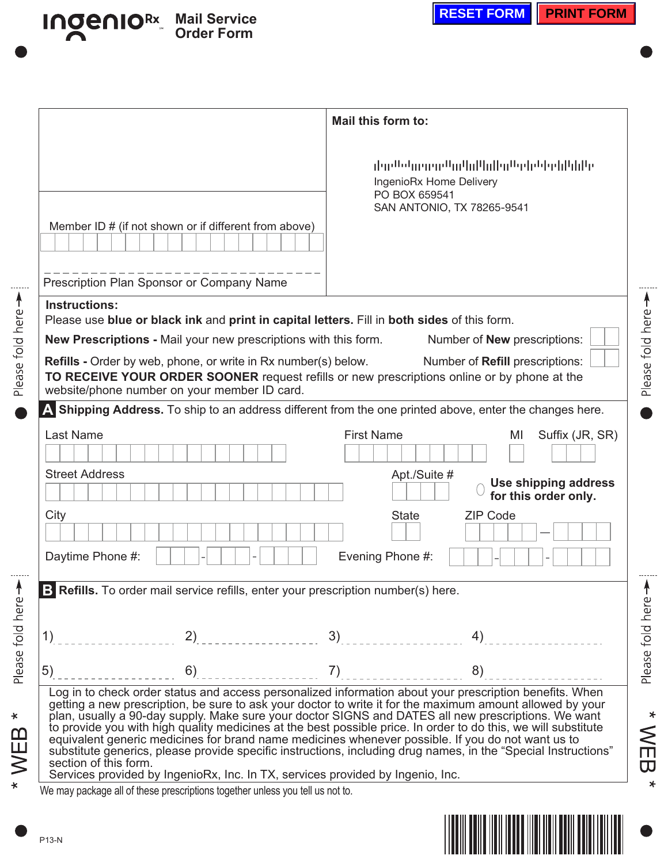|                                                                                                                                                                 | Mail this form to:                                                                                                                                                                                                                                                                                                                                                                                                                                                                                                                                                                                                                                                   |  |  |  |  |
|-----------------------------------------------------------------------------------------------------------------------------------------------------------------|----------------------------------------------------------------------------------------------------------------------------------------------------------------------------------------------------------------------------------------------------------------------------------------------------------------------------------------------------------------------------------------------------------------------------------------------------------------------------------------------------------------------------------------------------------------------------------------------------------------------------------------------------------------------|--|--|--|--|
| Member ID # (if not shown or if different from above)                                                                                                           | والرازا إراويا باوارو لاوالوا الرزاليو الوروور واستعرول<br>IngenioRx Home Delivery<br>PO BOX 659541<br>SAN ANTONIO, TX 78265-9541                                                                                                                                                                                                                                                                                                                                                                                                                                                                                                                                    |  |  |  |  |
|                                                                                                                                                                 |                                                                                                                                                                                                                                                                                                                                                                                                                                                                                                                                                                                                                                                                      |  |  |  |  |
| Prescription Plan Sponsor or Company Name                                                                                                                       |                                                                                                                                                                                                                                                                                                                                                                                                                                                                                                                                                                                                                                                                      |  |  |  |  |
| <b>Instructions:</b>                                                                                                                                            |                                                                                                                                                                                                                                                                                                                                                                                                                                                                                                                                                                                                                                                                      |  |  |  |  |
| Please use blue or black ink and print in capital letters. Fill in both sides of this form.<br>New Prescriptions - Mail your new prescriptions with this form.  | Number of <b>New</b> prescriptions:                                                                                                                                                                                                                                                                                                                                                                                                                                                                                                                                                                                                                                  |  |  |  |  |
| <b>Refills -</b> Order by web, phone, or write in Rx number(s) below.                                                                                           | Number of Refill prescriptions:                                                                                                                                                                                                                                                                                                                                                                                                                                                                                                                                                                                                                                      |  |  |  |  |
| website/phone number on your member ID card.                                                                                                                    | TO RECEIVE YOUR ORDER SOONER request refills or new prescriptions online or by phone at the                                                                                                                                                                                                                                                                                                                                                                                                                                                                                                                                                                          |  |  |  |  |
|                                                                                                                                                                 | A Shipping Address. To ship to an address different from the one printed above, enter the changes here.                                                                                                                                                                                                                                                                                                                                                                                                                                                                                                                                                              |  |  |  |  |
| <b>Last Name</b>                                                                                                                                                | <b>First Name</b><br>Suffix (JR, SR)<br>MI                                                                                                                                                                                                                                                                                                                                                                                                                                                                                                                                                                                                                           |  |  |  |  |
| <b>Street Address</b>                                                                                                                                           | Apt./Suite #<br>Use shipping address<br>for this order only.                                                                                                                                                                                                                                                                                                                                                                                                                                                                                                                                                                                                         |  |  |  |  |
| City                                                                                                                                                            | <b>State</b><br><b>ZIP Code</b>                                                                                                                                                                                                                                                                                                                                                                                                                                                                                                                                                                                                                                      |  |  |  |  |
| Daytime Phone #:                                                                                                                                                | Evening Phone #:                                                                                                                                                                                                                                                                                                                                                                                                                                                                                                                                                                                                                                                     |  |  |  |  |
|                                                                                                                                                                 |                                                                                                                                                                                                                                                                                                                                                                                                                                                                                                                                                                                                                                                                      |  |  |  |  |
| <b>B</b> Refills. To order mail service refills, enter your prescription number(s) here.                                                                        |                                                                                                                                                                                                                                                                                                                                                                                                                                                                                                                                                                                                                                                                      |  |  |  |  |
|                                                                                                                                                                 |                                                                                                                                                                                                                                                                                                                                                                                                                                                                                                                                                                                                                                                                      |  |  |  |  |
| 2)<br>1)                                                                                                                                                        | 3)<br>4)                                                                                                                                                                                                                                                                                                                                                                                                                                                                                                                                                                                                                                                             |  |  |  |  |
| 6)<br>5)                                                                                                                                                        | 8)<br>7)                                                                                                                                                                                                                                                                                                                                                                                                                                                                                                                                                                                                                                                             |  |  |  |  |
| section of this form.                                                                                                                                           | Log in to check order status and access personalized information about your prescription benefits. When<br>getting a new prescription, be sure to ask your doctor to write it for the maximum amount allowed by your<br>plan, usually a 90-day supply. Make sure your doctor SIGNS and DATES all new prescriptions. We want<br>to provide you with high quality medicines at the best possible price. In order to do this, we will substitute<br>equivalent generic medicines for brand name medicines whenever possible. If you do not want us to<br>substitute generics, please provide specific instructions, including drug names, in the "Special Instructions" |  |  |  |  |
| Services provided by IngenioRx, Inc. In TX, services provided by Ingenio, Inc.<br>We may package all of these prescriptions together unless you tell us not to. |                                                                                                                                                                                                                                                                                                                                                                                                                                                                                                                                                                                                                                                                      |  |  |  |  |

**Mail Service Order Form** 

**IngenioRx** 



Please fold here >

\* WEB \*

Please fold here